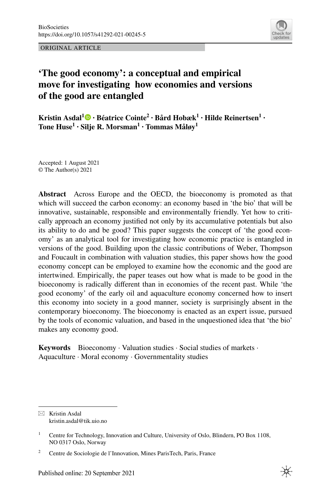ORIGINAL ARTICLE



# **'The good economy': a conceptual and empirical move for investigating how economies and versions of the good are entangled**

**KristinAsdal<sup>1</sup> • Béatrice Cointe<sup>2</sup> • Bård Hobæk<sup>1</sup> • Hilde Reinertsen<sup>1</sup> • Tone Huse<sup>1</sup> · Silje R. Morsman1 · Tommas Måløy1**

Accepted: 1 August 2021 © The Author(s) 2021

**Abstract** Across Europe and the OECD, the bioeconomy is promoted as that which will succeed the carbon economy: an economy based in 'the bio' that will be innovative, sustainable, responsible and environmentally friendly. Yet how to critically approach an economy justifed not only by its accumulative potentials but also its ability to do and be good? This paper suggests the concept of 'the good economy' as an analytical tool for investigating how economic practice is entangled in versions of the good. Building upon the classic contributions of Weber, Thompson and Foucault in combination with valuation studies, this paper shows how the good economy concept can be employed to examine how the economic and the good are intertwined. Empirically, the paper teases out how what is made to be good in the bioeconomy is radically diferent than in economies of the recent past. While 'the good economy' of the early oil and aquaculture economy concerned how to insert this economy into society in a good manner, society is surprisingly absent in the contemporary bioeconomy. The bioeconomy is enacted as an expert issue, pursued by the tools of economic valuation, and based in the unquestioned idea that 'the bio' makes any economy good.

**Keywords** Bioeconomy · Valuation studies · Social studies of markets · Aquaculture · Moral economy · Governmentality studies

 $\boxtimes$  Kristin Asdal kristin.asdal@tik.uio.no

<sup>&</sup>lt;sup>1</sup> Centre for Technology, Innovation and Culture, University of Oslo, Blindern, PO Box 1108, NO 0317 Oslo, Norway

<sup>2</sup> Centre de Sociologie de l'Innovation, Mines ParisTech, Paris, France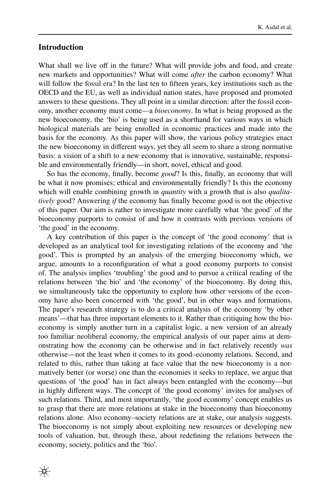# **Introduction**

What shall we live off in the future? What will provide jobs and food, and create new markets and opportunities? What will come *after* the carbon economy? What will follow the fossil era? In the last ten to ffteen years, key institutions such as the OECD and the EU, as well as individual nation states, have proposed and promoted answers to these questions. They all point in a similar direction: after the fossil economy, another economy must come—a *bioeconomy*. In what is being proposed as the new bioeconomy, the 'bio' is being used as a shorthand for various ways in which biological materials are being enrolled in economic practices and made into the basis for the economy. As this paper will show, the various policy strategies enact the new bioeconomy in diferent ways, yet they all seem to share a strong normative basis: a vision of a shift to a new economy that is innovative, sustainable, responsible and environmentally friendly—in short, novel, ethical and good.

So has the economy, fnally, become *good*? Is this, fnally, an economy that will be what it now promises; ethical and environmentally friendly? Is this the economy which will enable combining growth in *quantity* with a growth that is also *qualitatively* good? Answering *if* the economy has fnally become good is not the objective of this paper. Our aim is rather to investigate more carefully what 'the good' of the bioeconomy purports to consist of and how it contrasts with previous versions of 'the good' in the economy.

A key contribution of this paper is the concept of 'the good economy' that is developed as an analytical tool for investigating relations of the economy and 'the good'. This is prompted by an analysis of the emerging bioeconomy which, we argue, amounts to a reconfguration of what a good economy purports to consist of. The analysis implies 'troubling' the good and to pursue a critical reading of the relations between 'the bio' and 'the economy' of the bioeconomy. By doing this, we simultaneously take the opportunity to explore how other versions of the economy have also been concerned with 'the good', but in other ways and formations. The paper's research strategy is to do a critical analysis of the economy 'by other means'—that has three important elements to it. Rather than critiquing how the bioeconomy is simply another turn in a capitalist logic, a new version of an already too familiar neoliberal economy, the empirical analysis of our paper aims at demonstrating how the economy can be otherwise and in fact relatively recently *was* otherwise—not the least when it comes to its good–economy relations. Second, and related to this, rather than taking at face value that the new bioeconomy is a normatively better (or worse) one than the economies it seeks to replace, we argue that questions of 'the good' has in fact always been entangled with the economy—but in highly diferent ways. The concept of 'the good economy' invites for analyses of such relations. Third, and most importantly, 'the good economy' concept enables us to grasp that there are more relations at stake in the bioeconomy than bioeconomy relations alone. Also economy–society relations are at stake, our analysis suggests. The bioeconomy is not simply about exploiting new resources or developing new tools of valuation, but, through these, about redefning the relations between the economy, society, politics and the 'bio'.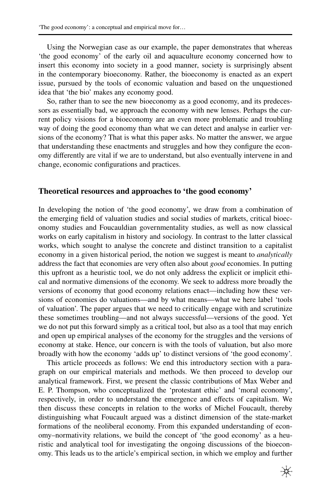Using the Norwegian case as our example, the paper demonstrates that whereas 'the good economy' of the early oil and aquaculture economy concerned how to insert this economy into society in a good manner, society is surprisingly absent in the contemporary bioeconomy. Rather, the bioeconomy is enacted as an expert issue, pursued by the tools of economic valuation and based on the unquestioned idea that 'the bio' makes any economy good.

So, rather than to see the new bioeconomy as a good economy, and its predecessors as essentially bad, we approach the economy with new lenses. Perhaps the current policy visions for a bioeconomy are an even more problematic and troubling way of doing the good economy than what we can detect and analyse in earlier versions of the economy? That is what this paper asks. No matter the answer, we argue that understanding these enactments and struggles and how they confgure the economy diferently are vital if we are to understand, but also eventually intervene in and change, economic confgurations and practices.

#### **Theoretical resources and approaches to 'the good economy'**

In developing the notion of 'the good economy', we draw from a combination of the emerging feld of valuation studies and social studies of markets, critical bioeconomy studies and Foucauldian governmentality studies, as well as now classical works on early capitalism in history and sociology. In contrast to the latter classical works, which sought to analyse the concrete and distinct transition to a capitalist economy in a given historical period, the notion we suggest is meant to *analytically* address the fact that economies are very often also about *good* economies. In putting this upfront as a heuristic tool, we do not only address the explicit or implicit ethical and normative dimensions of the economy. We seek to address more broadly the versions of economy that good economy relations enact—including how these versions of economies do valuations—and by what means—what we here label 'tools of valuation'. The paper argues that we need to critically engage with and scrutinize these sometimes troubling—and not always successful—versions of the good. Yet we do not put this forward simply as a critical tool, but also as a tool that may enrich and open up empirical analyses of the economy for the struggles and the versions of economy at stake. Hence, our concern is with the tools of valuation, but also more broadly with how the economy 'adds up' to distinct versions of 'the good economy'.

This article proceeds as follows: We end this introductory section with a paragraph on our empirical materials and methods. We then proceed to develop our analytical framework. First, we present the classic contributions of Max Weber and E. P. Thompson, who conceptualized the 'protestant ethic' and 'moral economy', respectively, in order to understand the emergence and efects of capitalism. We then discuss these concepts in relation to the works of Michel Foucault, thereby distinguishing what Foucault argued was a distinct dimension of the state-market formations of the neoliberal economy. From this expanded understanding of economy–normativity relations, we build the concept of 'the good economy' as a heuristic and analytical tool for investigating the ongoing discussions of the bioeconomy. This leads us to the article's empirical section, in which we employ and further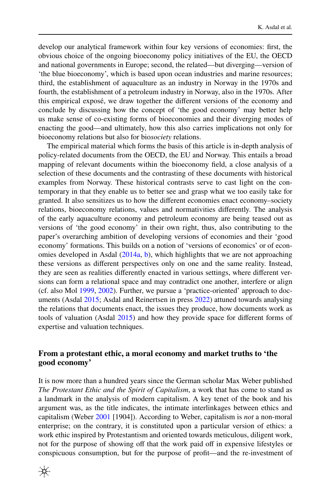develop our analytical framework within four key versions of economies: frst, the obvious choice of the ongoing bioeconomy policy initiatives of the EU, the OECD and national governments in Europe; second, the related—but diverging—version of 'the blue bioeconomy', which is based upon ocean industries and marine resources; third, the establishment of aquaculture as an industry in Norway in the 1970s and fourth, the establishment of a petroleum industry in Norway, also in the 1970s. After this empirical exposé, we draw together the diferent versions of the economy and conclude by discussing how the concept of 'the good economy' may better help us make sense of co-existing forms of bioeconomies and their diverging modes of enacting the good—and ultimately, how this also carries implications not only for bioeconomy relations but also for bio*society* relations.

The empirical material which forms the basis of this article is in-depth analysis of policy-related documents from the OECD, the EU and Norway. This entails a broad mapping of relevant documents within the bioeconomy feld, a close analysis of a selection of these documents and the contrasting of these documents with historical examples from Norway. These historical contrasts serve to cast light on the contemporary in that they enable us to better see and grasp what we too easily take for granted. It also sensitizes us to how the diferent economies enact economy–society relations, bioeconomy relations, values and normativities diferently. The analysis of the early aquaculture economy and petroleum economy are being teased out as versions of 'the good economy' in their own right, thus, also contributing to the paper's overarching ambition of developing versions of economies and their 'good economy' formations. This builds on a notion of 'versions of economics' or of economies developed in Asdal ([2014a](#page-19-0), [b\)](#page-19-1), which highlights that we are not approaching these versions as diferent perspectives only on one and the same reality. Instead, they are seen as realities diferently enacted in various settings, where diferent versions can form a relational space and may contradict one another, interfere or align (cf. also Mol [1999](#page-21-0), [2002](#page-21-1)). Further, we pursue a 'practice-oriented' approach to documents (Asdal [2015;](#page-19-2) Asdal and Reinertsen in press [2022\)](#page-20-0) attuned towards analysing the relations that documents enact, the issues they produce, how documents work as tools of valuation (Asdal [2015](#page-19-2)) and how they provide space for diferent forms of expertise and valuation techniques.

# **From a protestant ethic, a moral economy and market truths to 'the good economy'**

It is now more than a hundred years since the German scholar Max Weber published *The Protestant Ethic and the Spirit of Capitalism*, a work that has come to stand as a landmark in the analysis of modern capitalism. A key tenet of the book and his argument was, as the title indicates, the intimate interlinkages between ethics and capitalism (Weber [2001](#page-22-0) [1904]). According to Weber, capitalism is *not* a non-moral enterprise; on the contrary, it is constituted upon a particular version of ethics: a work ethic inspired by Protestantism and oriented towards meticulous, diligent work, not for the purpose of showing off that the work paid off in expensive lifestyles or conspicuous consumption, but for the purpose of proft—and the re-investment of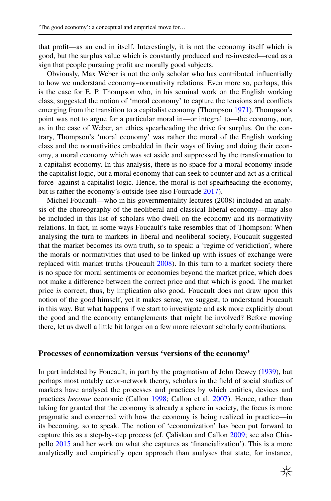that proft—as an end in itself. Interestingly, it is not the economy itself which is good, but the surplus value which is constantly produced and re-invested—read as a sign that people pursuing proft are morally good subjects.

Obviously, Max Weber is not the only scholar who has contributed infuentially to how we understand economy–normativity relations. Even more so, perhaps, this is the case for E. P. Thompson who, in his seminal work on the English working class, suggested the notion of 'moral economy' to capture the tensions and conficts emerging from the transition to a capitalist economy (Thompson [1971\)](#page-22-1). Thompson's point was not to argue for a particular moral in—or integral to—the economy, nor, as in the case of Weber, an ethics spearheading the drive for surplus. On the contrary, Thompson's 'moral economy' was rather the moral of the English working class and the normativities embedded in their ways of living and doing their economy, a moral economy which was set aside and suppressed by the transformation to a capitalist economy. In this analysis, there is no space for a moral economy inside the capitalist logic, but a moral economy that can seek to counter and act as a critical force against a capitalist logic. Hence, the moral is not spearheading the economy, but is rather the economy's outside (see also Fourcade [2017](#page-21-2)).

Michel Foucault—who in his governmentality lectures (2008) included an analysis of the choreography of the neoliberal and classical liberal economy—may also be included in this list of scholars who dwell on the economy and its normativity relations. In fact, in some ways Foucault's take resembles that of Thompson: When analysing the turn to markets in liberal and neoliberal society, Foucault suggested that the market becomes its own truth, so to speak: a 'regime of veridiction', where the morals or normativities that used to be linked up with issues of exchange were replaced with market truths (Foucault [2008](#page-21-3)). In this turn to a market society there is no space for moral sentiments or economies beyond the market price, which does not make a diference between the correct price and that which is good. The market price *is* correct, thus, by implication also good. Foucault does not draw upon this notion of the good himself, yet it makes sense, we suggest, to understand Foucault in this way. But what happens if we start to investigate and ask more explicitly about the good and the economy entanglements that might be involved? Before moving there, let us dwell a little bit longer on a few more relevant scholarly contributions.

# **Processes of economization versus 'versions of the economy'**

In part indebted by Foucault, in part by the pragmatism of John Dewey ([1939\)](#page-20-1), but perhaps most notably actor-network theory, scholars in the feld of social studies of markets have analysed the processes and practices by which entities, devices and practices *become* economic (Callon [1998](#page-20-2); Callon et al. [2007](#page-20-3)). Hence, rather than taking for granted that the economy is already a sphere in society, the focus is more pragmatic and concerned with how the economy is being realized in practice—in its becoming, so to speak. The notion of 'economization' has been put forward to capture this as a step-by-step process (cf. Çaliskan and Callon [2009;](#page-20-4) see also Chiapello [2015](#page-20-5) and her work on what she captures as 'fnancialization'). This is a more analytically and empirically open approach than analyses that state, for instance,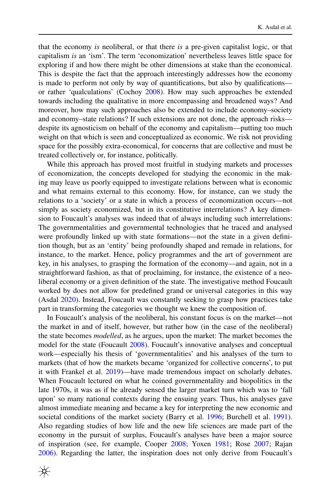that the economy *is* neoliberal, or that there *is* a pre-given capitalist logic, or that capitalism *is* an 'ism'. The term 'economization' nevertheless leaves little space for exploring if and how there might be other dimensions at stake than the economical. This is despite the fact that the approach interestingly addresses how the economy is made to perform not only by way of quantifcations, but also by qualifcations or rather 'qualculations' (Cochoy [2008](#page-20-6)). How may such approaches be extended towards including the qualitative in more encompassing and broadened ways? And moreover, how may such approaches also be extended to include economy–society and economy–state relations? If such extensions are not done, the approach risks despite its agnosticism on behalf of the economy and capitalism—putting too much weight on that which is seen and conceptualized as economic. We risk not providing space for the possibly extra-economical, for concerns that are collective and must be treated collectively or, for instance, politically.

While this approach has proved most fruitful in studying markets and processes of economization, the concepts developed for studying the economic in the making may leave us poorly equipped to investigate relations between what is economic and what remains external to this economy. How, for instance, can we study the relations to a 'society' or a state in which a process of economization occurs—not simply as society economized, but in its constitutive interrelations? A key dimension to Foucault's analyses was indeed that of always including such interrelations: The governmentalities and governmental technologies that he traced and analysed were profoundly linked up with state formations—not the state in a given defnition though, but as an 'entity' being profoundly shaped and remade in relations, for instance, to the market. Hence, policy programmes and the art of government are key, in his analyses, to grasping the formation of the economy—and again, not in a straightforward fashion, as that of proclaiming, for instance, the existence of a neoliberal economy or a given defnition of the state. The investigative method Foucault worked by does not allow for predefned grand or universal categories in this way (Asdal [2020\)](#page-20-7). Instead, Foucault was constantly seeking to grasp how practices take part in transforming the categories we thought we knew the composition of.

In Foucault's analysis of the neoliberal, his constant focus is on the market—not the market in and of itself, however, but rather how (in the case of the neoliberal) the state becomes *modelled*, as he argues, upon the market: The market becomes the model for the state (Foucault [2008](#page-21-3)). Foucault's innovative analyses and conceptual work—especially his thesis of 'governmentalities' and his analyses of the turn to markets (that of how the markets became 'organized for collective concerns', to put it with Frankel et al. [2019](#page-21-4))—have made tremendous impact on scholarly debates. When Foucault lectured on what he coined governmentality and biopolitics in the late 1970s, it was as if he already sensed the larger market turn which was to 'fall upon' so many national contexts during the ensuing years. Thus, his analyses gave almost immediate meaning and became a key for interpreting the new economic and societal conditions of the market society (Barry et al. [1996;](#page-20-8) Burchell et al. [1991\)](#page-20-9). Also regarding studies of how life and the new life sciences are made part of the economy in the pursuit of surplus, Foucault's analyses have been a major source of inspiration (see, for example, Cooper [2008;](#page-20-10) Yoxen [1981](#page-22-2); Rose [2007](#page-22-3); Rajan [2006](#page-22-4)). Regarding the latter, the inspiration does not only derive from Foucault's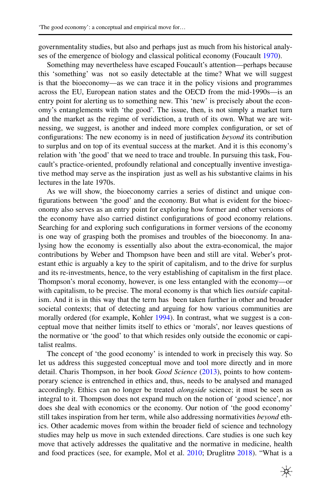governmentality studies, but also and perhaps just as much from his historical analyses of the emergence of biology and classical political economy (Foucault [1970](#page-21-5)).

Something may nevertheless have escaped Foucault's attention—perhaps because this 'something' was not so easily detectable at the time? What we will suggest is that the bioeconomy—as we can trace it in the policy visions and programmes across the EU, European nation states and the OECD from the mid-1990s—is an entry point for alerting us to something new. This 'new' is precisely about the economy's entanglements with 'the good'. The issue, then, is not simply a market turn and the market as the regime of veridiction, a truth of its own. What we are witnessing, we suggest, is another and indeed more complex confguration, or set of confgurations: The new economy is in need of justifcation *beyond* its contribution to surplus and on top of its eventual success at the market. And it is this economy's relation with 'the good' that we need to trace and trouble. In pursuing this task, Foucault's practice-oriented, profoundly relational and conceptually inventive investigative method may serve as the inspiration just as well as his substantive claims in his lectures in the late 1970s.

As we will show, the bioeconomy carries a series of distinct and unique confgurations between 'the good' and the economy. But what is evident for the bioeconomy also serves as an entry point for exploring how former and other versions of the economy have also carried distinct confgurations of good economy relations. Searching for and exploring such confgurations in former versions of the economy is one way of grasping both the promises and troubles of the bioeconomy. In analysing how the economy is essentially also about the extra-economical, the major contributions by Weber and Thompson have been and still are vital. Weber's protestant ethic is arguably a key to the spirit of capitalism, and to the drive for surplus and its re-investments, hence, to the very establishing of capitalism in the frst place. Thompson's moral economy, however, is one less entangled with the economy—or with capitalism, to be precise. The moral economy is that which lies *outside* capitalism. And it is in this way that the term has been taken further in other and broader societal contexts; that of detecting and arguing for how various communities are morally ordered (for example, Kohler [1994](#page-21-6)). In contrast, what we suggest is a conceptual move that neither limits itself to ethics or 'morals', nor leaves questions of the normative or 'the good' to that which resides only outside the economic or capitalist realms.

The concept of 'the good economy' is intended to work in precisely this way. So let us address this suggested conceptual move and tool more directly and in more detail. Charis Thompson, in her book *Good Science* [\(2013](#page-22-5)), points to how contemporary science is entrenched in ethics and, thus, needs to be analysed and managed accordingly. Ethics can no longer be treated *alongside* science; it must be seen as integral to it. Thompson does not expand much on the notion of 'good science', nor does she deal with economics or the economy. Our notion of 'the good economy' still takes inspiration from her term, while also addressing normativities *beyond* ethics. Other academic moves from within the broader feld of science and technology studies may help us move in such extended directions. Care studies is one such key move that actively addresses the qualitative and the normative in medicine, health and food practices (see, for example, Mol et al. [2010](#page-21-7); Druglitrø [2018](#page-20-11)). "What is a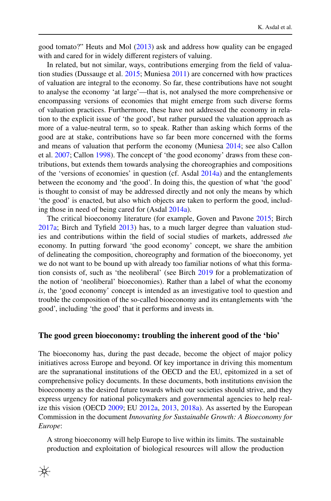good tomato?" Heuts and Mol [\(2013](#page-21-8)) ask and address how quality can be engaged with and cared for in widely diferent registers of valuing.

In related, but not similar, ways, contributions emerging from the feld of valuation studies (Dussauge et al. [2015;](#page-20-12) Muniesa [2011](#page-21-9)) are concerned with how practices of valuation are integral to the economy. So far, these contributions have not sought to analyse the economy 'at large'—that is, not analysed the more comprehensive or encompassing versions of economies that might emerge from such diverse forms of valuation practices. Furthermore, these have not addressed the economy in relation to the explicit issue of 'the good', but rather pursued the valuation approach as more of a value-neutral term, so to speak. Rather than asking which forms of the good are at stake, contributions have so far been more concerned with the forms and means of valuation that perform the economy (Muniesa [2014](#page-21-10); see also Callon et al. [2007;](#page-20-3) Callon [1998\)](#page-20-2). The concept of 'the good economy' draws from these contributions, but extends them towards analysing the choreographies and compositions of the 'versions of economies' in question (cf. Asdal [2014a\)](#page-19-0) and the entanglements between the economy and 'the good'. In doing this, the question of what 'the good' is thought to consist of may be addressed directly and not only the means by which 'the good' is enacted, but also which objects are taken to perform the good, including those in need of being cared for (Asdal [2014a\)](#page-19-0).

The critical bioeconomy literature (for example, Goven and Pavone [2015](#page-21-11); Birch [2017a](#page-20-13); Birch and Tyfeld [2013\)](#page-20-14) has, to a much larger degree than valuation studies and contributions within the feld of social studies of markets, addressed *the* economy. In putting forward 'the good economy' concept, we share the ambition of delineating the composition, choreography and formation of the bioeconomy, yet we do not want to be bound up with already too familiar notions of what this formation consists of, such as 'the neoliberal' (see Birch [2019](#page-20-15) for a problematization of the notion of 'neoliberal' bioeconomies). Rather than a label of what the economy *is*, the 'good economy' concept is intended as an investigative tool to question and trouble the composition of the so-called bioeconomy and its entanglements with 'the good', including 'the good' that it performs and invests in.

#### **The good green bioeconomy: troubling the inherent good of the 'bio'**

The bioeconomy has, during the past decade, become the object of major policy initiatives across Europe and beyond. Of key importance in driving this momentum are the supranational institutions of the OECD and the EU, epitomized in a set of comprehensive policy documents. In these documents, both institutions envision the bioeconomy as the desired future towards which our societies should strive, and they express urgency for national policymakers and governmental agencies to help realize this vision (OECD [2009](#page-21-12); EU [2012a,](#page-20-16) [2013,](#page-20-17) [2018a\)](#page-20-18). As asserted by the European Commission in the document *Innovating for Sustainable Growth: A Bioeconomy for Europe*:

A strong bioeconomy will help Europe to live within its limits. The sustainable production and exploitation of biological resources will allow the production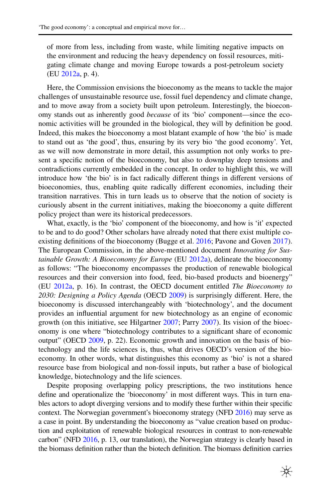of more from less, including from waste, while limiting negative impacts on the environment and reducing the heavy dependency on fossil resources, mitigating climate change and moving Europe towards a post-petroleum society (EU [2012a,](#page-20-16) p. 4).

Here, the Commission envisions the bioeconomy as the means to tackle the major challenges of unsustainable resource use, fossil fuel dependency and climate change, and to move away from a society built upon petroleum. Interestingly, the bioeconomy stands out as inherently good *because* of its 'bio' component—since the economic activities will be grounded in the biological, they will by defnition be good. Indeed, this makes the bioeconomy a most blatant example of how 'the bio' is made to stand out as 'the good', thus, ensuring by its very bio 'the good economy'. Yet, as we will now demonstrate in more detail, this assumption not only works to present a specifc notion of the bioeconomy, but also to downplay deep tensions and contradictions currently embedded in the concept. In order to highlight this, we will introduce how 'the bio' is in fact radically diferent things in diferent versions of bioeconomies, thus, enabling quite radically diferent economies, including their transition narratives. This in turn leads us to observe that the notion of society is curiously absent in the current initiatives, making the bioeconomy a quite diferent policy project than were its historical predecessors.

What, exactly, is the 'bio' component of the bioeconomy, and how is 'it' expected to be and to do good? Other scholars have already noted that there exist multiple co-existing definitions of the bioeconomy (Bugge et al. [2016](#page-20-19); Pavone and Goven [2017\)](#page-22-6). The European Commission, in the above-mentioned document *Innovating for Sustainable Growth: A Bioeconomy for Europe* (EU [2012a\)](#page-20-16), delineate the bioeconomy as follows: "The bioeconomy encompasses the production of renewable biological resources and their conversion into food, feed, bio-based products and bioenergy" (EU [2012a](#page-20-16), p. 16). In contrast, the OECD document entitled *The Bioeconomy to 2030: Designing a Policy Agenda* (OECD [2009](#page-21-12)) is surprisingly diferent. Here, the bioeconomy is discussed interchangeably with 'biotechnology', and the document provides an infuential argument for new biotechnology as an engine of economic growth (on this initiative, see Hilgartner [2007;](#page-21-13) Parry [2007\)](#page-21-14). Its vision of the bioeconomy is one where "biotechnology contributes to a signifcant share of economic output" (OECD [2009,](#page-21-12) p. 22). Economic growth and innovation on the basis of biotechnology and the life sciences is, thus, what drives OECD's version of the bioeconomy. In other words, what distinguishes this economy as 'bio' is not a shared resource base from biological and non-fossil inputs, but rather a base of biological knowledge, biotechnology and the life sciences.

Despite proposing overlapping policy prescriptions, the two institutions hence defne and operationalize the 'bioeconomy' in most diferent ways. This in turn enables actors to adopt diverging versions and to modify these further within their specifc context. The Norwegian government's bioeconomy strategy (NFD [2016\)](#page-21-15) may serve as a case in point. By understanding the bioeconomy as "value creation based on production and exploitation of renewable biological resources in contrast to non-renewable carbon" (NFD [2016](#page-21-15), p. 13, our translation), the Norwegian strategy is clearly based in the biomass defnition rather than the biotech defnition. The biomass defnition carries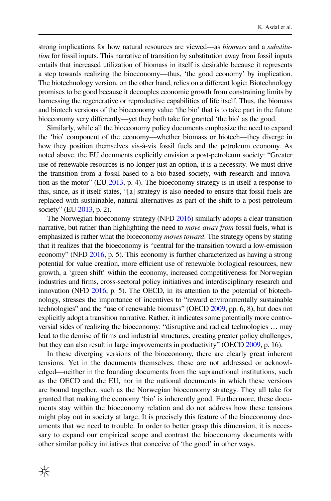strong implications for how natural resources are viewed—as *biomass* and a *substitution* for fossil inputs. This narrative of transition by substitution away from fossil inputs entails that increased utilization of biomass in itself is desirable because it represents a step towards realizing the bioeconomy—thus, 'the good economy' by implication. The biotechnology version, on the other hand, relies on a diferent logic: Biotechnology promises to be good because it decouples economic growth from constraining limits by harnessing the regenerative or reproductive capabilities of life itself. Thus, the biomass and biotech versions of the bioeconomy value 'the bio' that is to take part in the future bioeconomy very diferently—yet they both take for granted 'the bio' as the good.

Similarly, while all the bioeconomy policy documents emphasize the need to expand the 'bio' component of the economy—whether biomass or biotech—they diverge in how they position themselves vis-à-vis fossil fuels and the petroleum economy. As noted above, the EU documents explicitly envision a post-petroleum society: "Greater use of renewable resources is no longer just an option, it is a necessity. We must drive the transition from a fossil-based to a bio-based society, with research and innovation as the motor" (EU [2013,](#page-20-17) p. 4). The bioeconomy strategy is in itself a response to this, since, as it itself states, "[a] strategy is also needed to ensure that fossil fuels are replaced with sustainable, natural alternatives as part of the shift to a post-petroleum society" (EU [2013,](#page-20-17) p. 2).

The Norwegian bioeconomy strategy (NFD [2016\)](#page-21-15) similarly adopts a clear transition narrative, but rather than highlighting the need to *move away from* fossil fuels, what is emphasized is rather what the bioeconomy *moves toward*. The strategy opens by stating that it realizes that the bioeconomy is "central for the transition toward a low-emission economy" (NFD [2016](#page-21-15), p. 5). This economy is further characterized as having a strong potential for value creation, more efficient use of renewable biological resources, new growth, a 'green shift' within the economy, increased competitiveness for Norwegian industries and frms, cross-sectoral policy initiatives and interdisciplinary research and innovation (NFD [2016,](#page-21-15) p. 5). The OECD, in its attention to the potential of biotechnology, stresses the importance of incentives to "reward environmentally sustainable technologies" and the "use of renewable biomass" (OECD [2009](#page-21-12), pp. 6, 8), but does not explicitly adopt a transition narrative. Rather, it indicates some potentially more controversial sides of realizing the bioeconomy: "disruptive and radical technologies … may lead to the demise of frms and industrial structures, creating greater policy challenges, but they can also result in large improvements in productivity" (OECD [2009,](#page-21-12) p. 16).

In these diverging versions of the bioeconomy, there are clearly great inherent tensions. Yet in the documents themselves, these are not addressed or acknowledged—neither in the founding documents from the supranational institutions, such as the OECD and the EU, nor in the national documents in which these versions are bound together, such as the Norwegian bioeconomy strategy. They all take for granted that making the economy 'bio' is inherently good. Furthermore, these documents stay within the bioeconomy relation and do not address how these tensions might play out in society at large. It is precisely this feature of the bioeconomy documents that we need to trouble. In order to better grasp this dimension, it is necessary to expand our empirical scope and contrast the bioeconomy documents with other similar policy initiatives that conceive of 'the good' in other ways.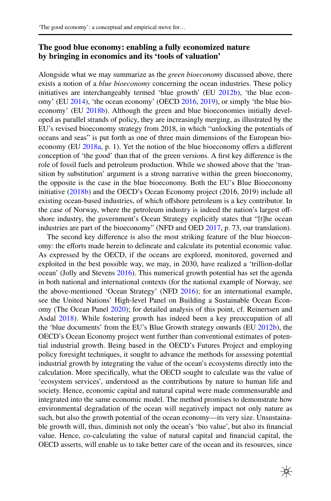# **The good blue economy: enabling a fully economized nature by bringing in economics and its 'tools of valuation'**

Alongside what we may summarize as the *green bioeconomy* discussed above, there exists a notion of a *blue bioeconomy* concerning the ocean industries. These policy initiatives are interchangeably termed 'blue growth' (EU [2012b](#page-20-20)), 'the blue econ-omy' (EU [2014\)](#page-20-21), 'the ocean economy' (OECD [2016,](#page-21-16) [2019\)](#page-21-17), or simply 'the blue bioeconomy' (EU [2018b](#page-20-22)). Although the green and blue bioeconomies initially developed as parallel strands of policy, they are increasingly merging, as illustrated by the EU's revised bioeconomy strategy from 2018, in which "unlocking the potentials of oceans and seas" is put forth as one of three main dimensions of the European bioeconomy (EU [2018a](#page-20-18), p. 1). Yet the notion of the blue bioeconomy ofers a diferent conception of 'the good' than that of the green versions. A frst key diference is the role of fossil fuels and petroleum production. While we showed above that the 'transition by substitution' argument is a strong narrative within the green bioeconomy, the opposite is the case in the blue bioeconomy. Both the EU's Blue Bioeconomy initiative [\(2018b](#page-20-22)) and the OECD's Ocean Economy project (2016, 2019) include all existing ocean-based industries, of which ofshore petroleum is a key contributor. In the case of Norway, where the petroleum industry is indeed the nation's largest offshore industry, the government's Ocean Strategy explicitly states that "[t]he ocean industries are part of the bioeconomy" (NFD and OED [2017](#page-21-18), p. 73, our translation).

The second key diference is also the most striking feature of the blue bioeconomy: the efforts made herein to delineate and calculate its potential economic value. As expressed by the OECD, if the oceans are explored, monitored, governed and exploited in the best possible way, we may, in 2030, have realized a 'trillion-dollar ocean' (Jolly and Stevens [2016](#page-21-19)). This numerical growth potential has set the agenda in both national and international contexts (for the national example of Norway, see the above-mentioned 'Ocean Strategy' (NFD [2016\)](#page-21-15); for an international example, see the United Nations' High-level Panel on Building a Sustainable Ocean Economy (The Ocean Panel [2020](#page-22-7)); for detailed analysis of this point, cf. Reinertsen and Asdal [2018](#page-22-8)). While fostering growth has indeed been a key preoccupation of all the 'blue documents' from the EU's Blue Growth strategy onwards (EU [2012b\)](#page-20-20), the OECD's Ocean Economy project went further than conventional estimates of potential industrial growth. Being based in the OECD's Futures Project and employing policy foresight techniques, it sought to advance the methods for assessing potential industrial growth by integrating the value of the ocean's ecosystems directly into the calculation. More specifcally, what the OECD sought to calculate was the value of 'ecosystem services', understood as the contributions by nature to human life and society. Hence, economic capital and natural capital were made commensurable and integrated into the same economic model. The method promises to demonstrate how environmental degradation of the ocean will negatively impact not only nature as such, but also the growth potential of the ocean economy—its very size. Unsustainable growth will, thus, diminish not only the ocean's 'bio value', but also its fnancial value. Hence, co-calculating the value of natural capital and fnancial capital, the OECD asserts, will enable us to take better care of the ocean and its resources, since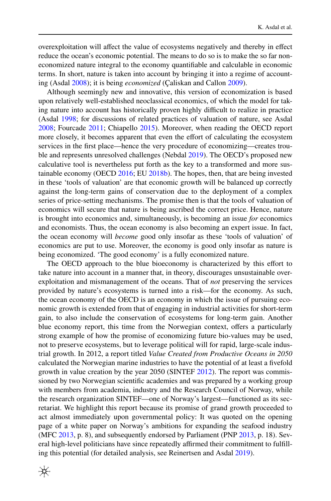overexploitation will afect the value of ecosystems negatively and thereby in efect reduce the ocean's economic potential. The means to do so is to make the so far noneconomized nature integral to the economy quantifable and calculable in economic terms. In short, nature is taken into account by bringing it into a regime of accounting (Asdal [2008](#page-19-3)); it is being *economized* (Çaliskan and Callon [2009\)](#page-20-4).

Although seemingly new and innovative, this version of economization is based upon relatively well-established neoclassical economics, of which the model for taking nature into account has historically proven highly difficult to realize in practice (Asdal [1998](#page-19-4); for discussions of related practices of valuation of nature, see Asdal [2008](#page-19-3); Fourcade [2011;](#page-21-20) Chiapello [2015](#page-20-5)). Moreover, when reading the OECD report more closely, it becomes apparent that even the effort of calculating the ecosystem services in the frst place—hence the very procedure of economizing—creates trouble and represents unresolved challenges (Nebdal [2019](#page-21-21)). The OECD's proposed new calculative tool is nevertheless put forth as the key to a transformed and more sustainable economy (OECD [2016;](#page-21-16) EU [2018b\)](#page-20-22). The hopes, then, that are being invested in these 'tools of valuation' are that economic growth will be balanced up correctly against the long-term gains of conservation due to the deployment of a complex series of price-setting mechanisms. The promise then is that the tools of valuation of economics will secure that nature is being ascribed the correct price. Hence, nature is brought into economics and, simultaneously, is becoming an issue *for* economics and economists. Thus, the ocean economy is also becoming an expert issue. In fact, the ocean economy will *become* good only insofar as these 'tools of valuation' of economics are put to use. Moreover, the economy is good only insofar as nature is being economized. 'The good economy' is a fully economized nature.

The OECD approach to the blue bioeconomy is characterized by this efort to take nature into account in a manner that, in theory, discourages unsustainable overexploitation and mismanagement of the oceans. That of *not* preserving the services provided by nature's ecosystems is turned into a risk—for the economy. As such, the ocean economy of the OECD is an economy in which the issue of pursuing economic growth is extended from that of engaging in industrial activities for short-term gain, to also include the conservation of ecosystems for long-term gain. Another blue economy report, this time from the Norwegian context, ofers a particularly strong example of how the promise of economizing future bio-values may be used, not to preserve ecosystems, but to leverage political will for rapid, large-scale industrial growth. In 2012, a report titled *Value Created from Productive Oceans in 2050* calculated the Norwegian marine industries to have the potential of at least a fvefold growth in value creation by the year 2050 (SINTEF [2012\)](#page-22-9). The report was commissioned by two Norwegian scientifc academies and was prepared by a working group with members from academia, industry and the Research Council of Norway, while the research organization SINTEF—one of Norway's largest—functioned as its secretariat. We highlight this report because its promise of grand growth proceeded to act almost immediately upon governmental policy: It was quoted on the opening page of a white paper on Norway's ambitions for expanding the seafood industry (MFC [2013,](#page-21-22) p. 8), and subsequently endorsed by Parliament (PNP [2013](#page-22-10), p. 18). Several high-level politicians have since repeatedly afrmed their commitment to fulflling this potential (for detailed analysis, see Reinertsen and Asdal [2019](#page-22-11)).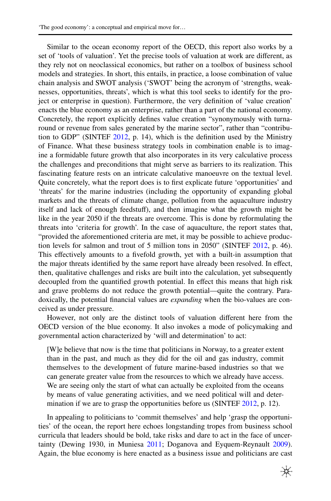Similar to the ocean economy report of the OECD, this report also works by a set of 'tools of valuation'. Yet the precise tools of valuation at work are diferent, as they rely not on neoclassical economics, but rather on a toolbox of business school models and strategies. In short, this entails, in practice, a loose combination of value chain analysis and SWOT analysis ('SWOT' being the acronym of 'strengths, weaknesses, opportunities, threats', which is what this tool seeks to identify for the project or enterprise in question). Furthermore, the very defnition of 'value creation' enacts the blue economy as an enterprise, rather than a part of the national economy. Concretely, the report explicitly defnes value creation "synonymously with turnaround or revenue from sales generated by the marine sector", rather than "contribution to GDP" (SINTEF [2012](#page-22-9), p. 14), which is the defnition used by the Ministry of Finance. What these business strategy tools in combination enable is to imagine a formidable future growth that also incorporates in its very calculative process the challenges and preconditions that might serve as barriers to its realization. This fascinating feature rests on an intricate calculative manoeuvre on the textual level. Quite concretely, what the report does is to frst explicate future 'opportunities' and 'threats' for the marine industries (including the opportunity of expanding global markets and the threats of climate change, pollution from the aquaculture industry itself and lack of enough feedstuf), and then imagine what the growth might be like in the year 2050 if the threats are overcome. This is done by reformulating the threats into 'criteria for growth'. In the case of aquaculture, the report states that, "provided the aforementioned criteria are met, it may be possible to achieve production levels for salmon and trout of 5 million tons in 2050" (SINTEF [2012,](#page-22-9) p. 46). This efectively amounts to a fvefold growth, yet with a built-in assumption that the major threats identifed by the same report have already been resolved. In efect, then, qualitative challenges and risks are built into the calculation, yet subsequently decoupled from the quantifed growth potential. In efect this means that high risk and grave problems do not reduce the growth potential—quite the contrary. Paradoxically, the potential fnancial values are *expanding* when the bio-values are conceived as under pressure.

However, not only are the distinct tools of valuation diferent here from the OECD version of the blue economy. It also invokes a mode of policymaking and governmental action characterized by 'will and determination' to act:

[W]e believe that now is the time that politicians in Norway, to a greater extent than in the past, and much as they did for the oil and gas industry, commit themselves to the development of future marine-based industries so that we can generate greater value from the resources to which we already have access. We are seeing only the start of what can actually be exploited from the oceans by means of value generating activities, and we need political will and deter-mination if we are to grasp the opportunities before us (SINTEF [2012](#page-22-9), p. 12).

In appealing to politicians to 'commit themselves' and help 'grasp the opportunities' of the ocean, the report here echoes longstanding tropes from business school curricula that leaders should be bold, take risks and dare to act in the face of uncer-tainty (Dewing 1930, in Muniesa [2011](#page-21-9); Doganova and Eyquem-Reynault [2009\)](#page-20-23). Again, the blue economy is here enacted as a business issue and politicians are cast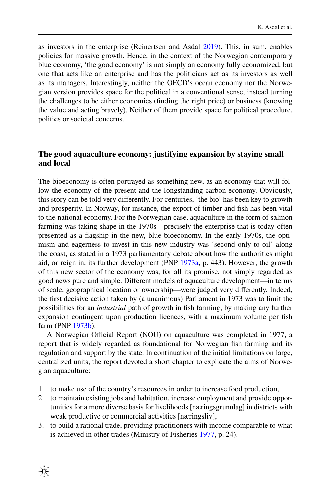as investors in the enterprise (Reinertsen and Asdal [2019\)](#page-22-11). This, in sum, enables policies for massive growth. Hence, in the context of the Norwegian contemporary blue economy, 'the good economy' is not simply an economy fully economized, but one that acts like an enterprise and has the politicians act as its investors as well as its managers. Interestingly, neither the OECD's ocean economy nor the Norwegian version provides space for the political in a conventional sense, instead turning the challenges to be either economics (fnding the right price) or business (knowing the value and acting bravely). Neither of them provide space for political procedure, politics or societal concerns.

# **The good aquaculture economy: justifying expansion by staying small and local**

The bioeconomy is often portrayed as something new, as an economy that will follow the economy of the present and the longstanding carbon economy. Obviously, this story can be told very diferently. For centuries, 'the bio' has been key to growth and prosperity. In Norway, for instance, the export of timber and fsh has been vital to the national economy. For the Norwegian case, aquaculture in the form of salmon farming was taking shape in the 1970s—precisely the enterprise that is today often presented as a fagship in the new, blue bioeconomy. In the early 1970s, the optimism and eagerness to invest in this new industry was 'second only to oil' along the coast, as stated in a 1973 parliamentary debate about how the authorities might aid, or reign in, its further development (PNP [1973a,](#page-22-12) p. 443). However, the growth of this new sector of the economy was, for all its promise, not simply regarded as good news pure and simple. Diferent models of aquaculture development—in terms of scale, geographical location or ownership—were judged very diferently. Indeed, the frst decisive action taken by (a unanimous) Parliament in 1973 was to limit the possibilities for an *industrial* path of growth in fsh farming, by making any further expansion contingent upon production licences, with a maximum volume per fsh farm (PNP [1973b\)](#page-22-13).

A Norwegian Official Report (NOU) on aquaculture was completed in 1977, a report that is widely regarded as foundational for Norwegian fsh farming and its regulation and support by the state. In continuation of the initial limitations on large, centralized units, the report devoted a short chapter to explicate the aims of Norwegian aquaculture:

- 1. to make use of the country's resources in order to increase food production,
- 2. to maintain existing jobs and habitation, increase employment and provide opportunities for a more diverse basis for livelihoods [næringsgrunnlag] in districts with weak productive or commercial activities [næringsliv],
- 3. to build a rational trade, providing practitioners with income comparable to what is achieved in other trades (Ministry of Fisheries [1977](#page-21-23), p. 24).

₩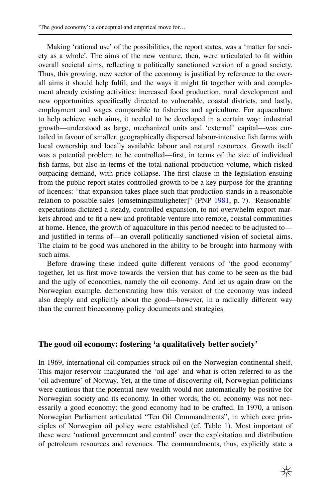Making 'rational use' of the possibilities, the report states, was a 'matter for society as a whole'. The aims of the new venture, then, were articulated to ft within overall societal aims, refecting a politically sanctioned version of a good society. Thus, this growing, new sector of the economy is justifed by reference to the overall aims it should help fulfl, and the ways it might ft together with and complement already existing activities: increased food production, rural development and new opportunities specifcally directed to vulnerable, coastal districts, and lastly, employment and wages comparable to fsheries and agriculture. For aquaculture to help achieve such aims, it needed to be developed in a certain way: industrial growth—understood as large, mechanized units and 'external' capital—was curtailed in favour of smaller, geographically dispersed labour-intensive fsh farms with local ownership and locally available labour and natural resources. Growth itself was a potential problem to be controlled—frst, in terms of the size of individual fsh farms, but also in terms of the total national production volume, which risked outpacing demand, with price collapse. The frst clause in the legislation ensuing from the public report states controlled growth to be a key purpose for the granting of licences: "that expansion takes place such that production stands in a reasonable relation to possible sales [omsetningsmuligheter]" (PNP [1981](#page-22-14), p. 7). 'Reasonable' expectations dictated a steady, controlled expansion, to not overwhelm export markets abroad and to ft a new and proftable venture into remote, coastal communities at home. Hence, the growth of aquaculture in this period needed to be adjusted to and justifed in terms of—an overall politically sanctioned vision of societal aims. The claim to be good was anchored in the ability to be brought into harmony with such aims.

Before drawing these indeed quite diferent versions of 'the good economy' together, let us frst move towards the version that has come to be seen as the bad and the ugly of economies, namely the oil economy. And let us again draw on the Norwegian example, demonstrating how this version of the economy was indeed also deeply and explicitly about the good—however, in a radically diferent way than the current bioeconomy policy documents and strategies.

# **The good oil economy: fostering 'a qualitatively better society'**

In 1969, international oil companies struck oil on the Norwegian continental shelf. This major reservoir inaugurated the 'oil age' and what is often referred to as the 'oil adventure' of Norway. Yet, at the time of discovering oil, Norwegian politicians were cautious that the potential new wealth would not automatically be positive for Norwegian society and its economy. In other words, the oil economy was not necessarily a good economy: the good economy had to be crafted. In 1970, a unison Norwegian Parliament articulated "Ten Oil Commandments", in which core principles of Norwegian oil policy were established (cf. Table [1\)](#page-15-0). Most important of these were 'national government and control' over the exploitation and distribution of petroleum resources and revenues. The commandments, thus, explicitly state a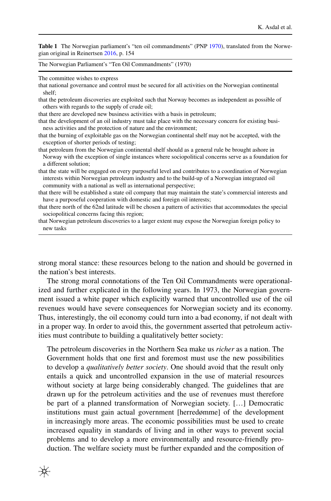<span id="page-15-0"></span>**Table 1** The Norwegian parliament's "ten oil commandments" (PNP [1970\)](#page-22-15), translated from the Norwegian original in Reinertsen [2016](#page-22-16), p. 154

The Norwegian Parliament's "Ten Oil Commandments" (1970)

The committee wishes to express

that national governance and control must be secured for all activities on the Norwegian continental shelf;

that the petroleum discoveries are exploited such that Norway becomes as independent as possible of others with regards to the supply of crude oil;

that there are developed new business activities with a basis in petroleum;

that the development of an oil industry must take place with the necessary concern for existing business activities and the protection of nature and the environment;

that the burning of exploitable gas on the Norwegian continental shelf may not be accepted, with the exception of shorter periods of testing;

- that petroleum from the Norwegian continental shelf should as a general rule be brought ashore in Norway with the exception of single instances where sociopolitical concerns serve as a foundation for a diferent solution;
- that the state will be engaged on every purposeful level and contributes to a coordination of Norwegian interests within Norwegian petroleum industry and to the build-up of a Norwegian integrated oil community with a national as well as international perspective;
- that there will be established a state oil company that may maintain the state's commercial interests and have a purposeful cooperation with domestic and foreign oil interests;

that there north of the 62nd latitude will be chosen a pattern of activities that accommodates the special sociopolitical concerns facing this region;

that Norwegian petroleum discoveries to a larger extent may expose the Norwegian foreign policy to new tasks

strong moral stance: these resources belong to the nation and should be governed in the nation's best interests.

The strong moral connotations of the Ten Oil Commandments were operationalized and further explicated in the following years. In 1973, the Norwegian government issued a white paper which explicitly warned that uncontrolled use of the oil revenues would have severe consequences for Norwegian society and its economy. Thus, interestingly, the oil economy could turn into a bad economy, if not dealt with in a proper way. In order to avoid this, the government asserted that petroleum activities must contribute to building a qualitatively better society:

The petroleum discoveries in the Northern Sea make us *richer* as a nation. The Government holds that one frst and foremost must use the new possibilities to develop a *qualitatively better society*. One should avoid that the result only entails a quick and uncontrolled expansion in the use of material resources without society at large being considerably changed. The guidelines that are drawn up for the petroleum activities and the use of revenues must therefore be part of a planned transformation of Norwegian society. […] Democratic institutions must gain actual government [herredømme] of the development in increasingly more areas. The economic possibilities must be used to create increased equality in standards of living and in other ways to prevent social problems and to develop a more environmentally and resource-friendly production. The welfare society must be further expanded and the composition of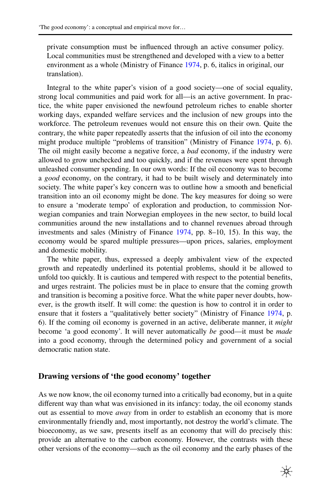private consumption must be infuenced through an active consumer policy. Local communities must be strengthened and developed with a view to a better environment as a whole (Ministry of Finance [1974](#page-21-24), p. 6, italics in original, our translation).

Integral to the white paper's vision of a good society—one of social equality, strong local communities and paid work for all—is an active government. In practice, the white paper envisioned the newfound petroleum riches to enable shorter working days, expanded welfare services and the inclusion of new groups into the workforce. The petroleum revenues would not ensure this on their own. Quite the contrary, the white paper repeatedly asserts that the infusion of oil into the economy might produce multiple "problems of transition" (Ministry of Finance [1974,](#page-21-24) p. 6). The oil might easily become a negative force, a *bad* economy, if the industry were allowed to grow unchecked and too quickly, and if the revenues were spent through unleashed consumer spending. In our own words: If the oil economy was to become a *good* economy, on the contrary, it had to be built wisely and determinately into society. The white paper's key concern was to outline how a smooth and beneficial transition into an oil economy might be done. The key measures for doing so were to ensure a 'moderate tempo' of exploration and production, to commission Norwegian companies and train Norwegian employees in the new sector, to build local communities around the new installations and to channel revenues abroad through investments and sales (Ministry of Finance [1974,](#page-21-24) pp. 8–10, 15). In this way, the economy would be spared multiple pressures—upon prices, salaries, employment and domestic mobility.

The white paper, thus, expressed a deeply ambivalent view of the expected growth and repeatedly underlined its potential problems, should it be allowed to unfold too quickly. It is cautious and tempered with respect to the potential benefts, and urges restraint. The policies must be in place to ensure that the coming growth and transition is becoming a positive force. What the white paper never doubts, however, is the growth itself. It will come: the question is how to control it in order to ensure that it fosters a "qualitatively better society" (Ministry of Finance [1974,](#page-21-24) p. 6). If the coming oil economy is governed in an active, deliberate manner, it *might* become 'a good economy'. It will never automatically *be* good—it must be *made* into a good economy, through the determined policy and government of a social democratic nation state.

#### **Drawing versions of 'the good economy' together**

As we now know, the oil economy turned into a critically bad economy, but in a quite diferent way than what was envisioned in its infancy: today, the oil economy stands out as essential to move *away* from in order to establish an economy that is more environmentally friendly and, most importantly, not destroy the world's climate. The bioeconomy, as we saw, presents itself as an economy that will do precisely this: provide an alternative to the carbon economy. However, the contrasts with these other versions of the economy—such as the oil economy and the early phases of the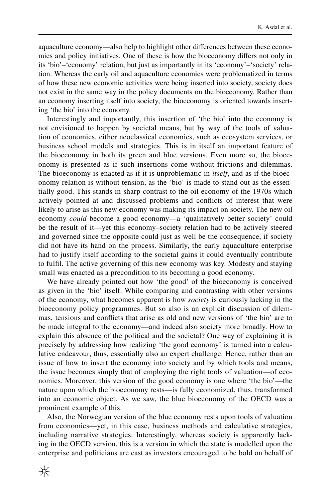aquaculture economy—also help to highlight other diferences between these economies and policy initiatives. One of these is how the bioeconomy difers not only in its 'bio'–'economy' relation, but just as importantly in its 'economy'–'society' relation. Whereas the early oil and aquaculture economies were problematized in terms of how these new economic activities were being inserted into society, society does not exist in the same way in the policy documents on the bioeconomy. Rather than an economy inserting itself into society, the bioeconomy is oriented towards inserting 'the bio' into the economy.

Interestingly and importantly, this insertion of 'the bio' into the economy is not envisioned to happen by societal means, but by way of the tools of valuation of economics, either neoclassical economics, such as ecosystem services, or business school models and strategies. This is in itself an important feature of the bioeconomy in both its green and blue versions. Even more so, the bioeconomy is presented as if such insertions come without frictions and dilemmas. The bioeconomy is enacted as if it is unproblematic in *itself*, and as if the bioeconomy relation is without tension, as the 'bio' is made to stand out as the essentially good. This stands in sharp contrast to the oil economy of the 1970s which actively pointed at and discussed problems and conficts of interest that were likely to arise as this new economy was making its impact on society. The new oil economy *could* become a good economy—a 'qualitatively better society' could be the result of it—yet this economy–society relation had to be actively steered and governed since the opposite could just as well be the consequence, if society did not have its hand on the process. Similarly, the early aquaculture enterprise had to justify itself according to the societal gains it could eventually contribute to fulfl. The active governing of this new economy was key. Modesty and staying small was enacted as a precondition to its becoming a good economy.

We have already pointed out how 'the good' of the bioeconomy is conceived as given in the 'bio' itself. While comparing and contrasting with other versions of the economy, what becomes apparent is how *society* is curiously lacking in the bioeconomy policy programmes. But so also is an explicit discussion of dilemmas, tensions and conficts that arise as old and new versions of 'the bio' are to be made integral to the economy—and indeed also society more broadly. How to explain this absence of the political and the societal? One way of explaining it is precisely by addressing how realizing 'the good economy' is turned into a calculative endeavour, thus, essentially also an expert challenge. Hence, rather than an issue of how to insert the economy into society and by which tools and means, the issue becomes simply that of employing the right tools of valuation—of economics. Moreover, this version of the good economy is one where 'the bio'—the nature upon which the bioeconomy rests—is fully economized, thus, transformed into an economic object. As we saw, the blue bioeconomy of the OECD was a prominent example of this.

Also, the Norwegian version of the blue economy rests upon tools of valuation from economics—yet, in this case, business methods and calculative strategies, including narrative strategies. Interestingly, whereas society is apparently lacking in the OECD version, this is a version in which the state is modelled upon the enterprise and politicians are cast as investors encouraged to be bold on behalf of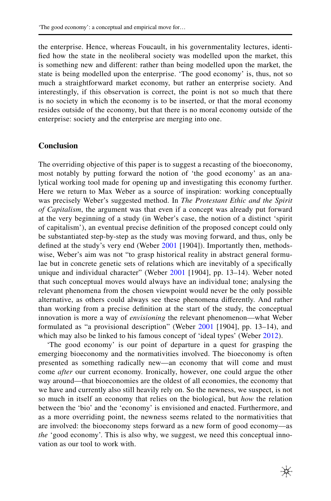the enterprise. Hence, whereas Foucault, in his governmentality lectures, identifed how the state in the neoliberal society was modelled upon the market, this is something new and diferent: rather than being modelled upon the market, the state is being modelled upon the enterprise. 'The good economy' is, thus, not so much a straightforward market economy, but rather an enterprise society. And interestingly, if this observation is correct, the point is not so much that there is no society in which the economy is to be inserted, or that the moral economy resides outside of the economy, but that there is no moral economy outside of the enterprise: society and the enterprise are merging into one.

#### **Conclusion**

The overriding objective of this paper is to suggest a recasting of the bioeconomy, most notably by putting forward the notion of 'the good economy' as an analytical working tool made for opening up and investigating this economy further. Here we return to Max Weber as a source of inspiration: working conceptually was precisely Weber's suggested method. In *The Protestant Ethic and the Spirit of Capitalism*, the argument was that even if a concept was already put forward at the very beginning of a study (in Weber's case, the notion of a distinct 'spirit of capitalism'), an eventual precise defnition of the proposed concept could only be substantiated step-by-step as the study was moving forward, and thus, only be defined at the study's very end (Weber [2001](#page-22-0) [1904]). Importantly then, methodswise, Weber's aim was not "to grasp historical reality in abstract general formulae but in concrete genetic sets of relations which are inevitably of a specifcally unique and individual character" (Weber [2001](#page-22-0) [1904], pp. 13–14). Weber noted that such conceptual moves would always have an individual tone; analysing the relevant phenomena from the chosen viewpoint would never be the only possible alternative, as others could always see these phenomena diferently. And rather than working from a precise defnition at the start of the study, the conceptual innovation is more a way of *envisioning* the relevant phenomenon—what Weber formulated as "a provisional description" (Weber [2001](#page-22-0) [1904], pp. 13–14), and which may also be linked to his famous concept of 'ideal types' (Weber [2012\)](#page-22-17).

'The good economy' is our point of departure in a quest for grasping the emerging bioeconomy and the normativities involved. The bioeconomy is often presented as something radically new—an economy that will come and must come *after* our current economy. Ironically, however, one could argue the other way around—that bioeconomies are the oldest of all economies, the economy that we have and currently also still heavily rely on. So the newness, we suspect, is not so much in itself an economy that relies on the biological, but *how* the relation between the 'bio' and the 'economy' is envisioned and enacted. Furthermore, and as a more overriding point, the newness seems related to the normativities that are involved: the bioeconomy steps forward as a new form of good economy—as *the* 'good economy'. This is also why, we suggest, we need this conceptual innovation as our tool to work with.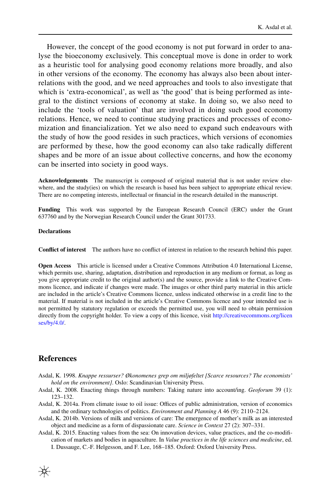However, the concept of the good economy is not put forward in order to analyse the bioeconomy exclusively. This conceptual move is done in order to work as a heuristic tool for analysing good economy relations more broadly, and also in other versions of the economy. The economy has always also been about interrelations with the good, and we need approaches and tools to also investigate that which is 'extra-economical', as well as 'the good' that is being performed as integral to the distinct versions of economy at stake. In doing so, we also need to include the 'tools of valuation' that are involved in doing such good economy relations. Hence, we need to continue studying practices and processes of economization and fnancialization. Yet we also need to expand such endeavours with the study of how the good resides in such practices, which versions of economies are performed by these, how the good economy can also take radically diferent shapes and be more of an issue about collective concerns, and how the economy can be inserted into society in good ways.

**Acknowledgements** The manuscript is composed of original material that is not under review elsewhere, and the study(ies) on which the research is based has been subject to appropriate ethical review. There are no competing interests, intellectual or fnancial in the research detailed in the manuscript.

**Funding** This work was supported by the European Research Council (ERC) under the Grant 637760 and by the Norwegian Research Council under the Grant 301733.

#### **Declarations**

**Confict of interest** The authors have no confict of interest in relation to the research behind this paper.

**Open Access** This article is licensed under a Creative Commons Attribution 4.0 International License, which permits use, sharing, adaptation, distribution and reproduction in any medium or format, as long as you give appropriate credit to the original author(s) and the source, provide a link to the Creative Commons licence, and indicate if changes were made. The images or other third party material in this article are included in the article's Creative Commons licence, unless indicated otherwise in a credit line to the material. If material is not included in the article's Creative Commons licence and your intended use is not permitted by statutory regulation or exceeds the permitted use, you will need to obtain permission directly from the copyright holder. To view a copy of this licence, visit [http://creativecommons.org/licen](http://creativecommons.org/licenses/by/4.0/) [ses/by/4.0/](http://creativecommons.org/licenses/by/4.0/).

#### **References**

- <span id="page-19-4"></span>Asdal, K. 1998. *Knappe ressurser? Økonomenes grep om miljøfeltet [Scarce resources? The economists' hold on the environment]*. Oslo: Scandinavian University Press.
- <span id="page-19-3"></span>Asdal, K. 2008. Enacting things through numbers: Taking nature into account/ing. *Geoforum* 39 (1): 123–132.
- <span id="page-19-0"></span>Asdal, K. 2014a. From climate issue to oil issue: Offices of public administration, version of economics and the ordinary technologies of politics. *Environment and Planning A* 46 (9): 2110–2124.
- <span id="page-19-1"></span>Asdal, K. 2014b. Versions of milk and versions of care: The emergence of mother's milk as an interested object and medicine as a form of dispassionate care. *Science in Context* 27 (2): 307–331.

<span id="page-19-2"></span>Asdal, K. 2015. Enacting values from the sea: On innovation devices, value practices, and the co-modifcation of markets and bodies in aquaculture. In *Value practices in the life sciences and medicine*, ed. I. Dussauge, C.-F. Helgesson, and F. Lee, 168–185. Oxford: Oxford University Press.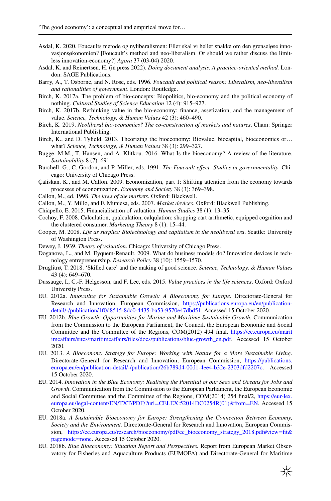- <span id="page-20-7"></span>Asdal, K. 2020. Foucaults metode og nyliberalismen: Eller skal vi heller snakke om den grenseløse innovasjonsøkonomien? [Foucault's method and neo-liberalism. Or should we rather discuss the limitless innovation-economy?] *Agora* 37 (03-04) 2020*.*
- <span id="page-20-0"></span>Asdal, K. and Reinertsen, H. (in press 2022). *Doing document analysis. A practice-oriented method.* London: SAGE Publications.
- <span id="page-20-8"></span>Barry, A., T. Osborne, and N. Rose, eds. 1996. *Foucault and political reason: Liberalism, neo-liberalism and rationalities of government*. London: Routledge.
- <span id="page-20-13"></span>Birch, K. 2017a. The problem of bio-concepts: Biopolitics, bio-economy and the political economy of nothing. *Cultural Studies of Science Education* 12 (4): 915–927.
- Birch, K. 2017b. Rethinking value in the bio-economy: fnance, assetization, and the management of value. *Science, Technology, & Human Values* 42 (3): 460–490.
- <span id="page-20-15"></span>Birch, K. 2019. *Neoliberal bio-economies? The co-construction of markets and natures*. Cham: Springer International Publishing.
- <span id="page-20-14"></span>Birch, K., and D. Tyfeld. 2013. Theorizing the bioeconomy: Biovalue, biocapital, bioeconomics or… what? *Science, Technology, & Human Values* 38 (3): 299–327.
- <span id="page-20-19"></span>Bugge, M.M., T. Hansen, and A. Klitkou. 2016. What Is the bioeconomy? A review of the literature. *Sustainability* 8 (7): 691.
- <span id="page-20-9"></span>Burchell, G., C. Gordon, and P. Miller, eds. 1991. *The Foucault efect: Studies in governmentality*. Chicago: University of Chicago Press.
- <span id="page-20-4"></span>Çaliskan, K., and M. Callon. 2009. Economization, part 1: Shifting attention from the economy towards processes of economization. *Economy and Society* 38 (3): 369–398.
- <span id="page-20-2"></span>Callon, M., ed. 1998. *The laws of the markets*. Oxford: Blackwell.
- <span id="page-20-3"></span>Callon, M., Y. Millo, and F. Muniesa, eds. 2007. *Market devices*. Oxford: Blackwell Publishing.
- <span id="page-20-5"></span>Chiapello, E. 2015. Financialisation of valuation. *Human Studies* 38 (1): 13–35.
- <span id="page-20-6"></span>Cochoy, F. 2008. Calculation, qualculation, calqulation: shopping cart arithmetic, equipped cognition and the clustered consumer. *Marketing Theory* 8 (1): 15–44.
- <span id="page-20-10"></span>Cooper, M. 2008. *Life as surplus: Biotechnology and capitalism in the neoliberal era*. Seattle: University of Washington Press.
- <span id="page-20-1"></span>Dewey, J. 1939. *Theory of valuation*. Chicago: University of Chicago Press.
- <span id="page-20-23"></span>Doganova, L., and M. Eyquem-Renault. 2009. What do business models do? Innovation devices in technology entrepreneurship. *Research Policy* 38 (10): 1559–1570.
- <span id="page-20-11"></span>Druglitrø, T. 2018. 'Skilled care' and the making of good science. *Science, Technology, & Human Values* 43 (4): 649–670.
- <span id="page-20-12"></span>Dussauge, I., C.-F. Helgesson, and F. Lee, eds. 2015. *Value practices in the life sciences*. Oxford: Oxford University Press.
- <span id="page-20-16"></span>EU. 2012a. *Innovating for Sustainable Growth: A Bioeconomy for Europe.* Directorate-General for Research and Innovation, European Commission, [https://publications.europa.eu/en/publication](https://publications.europa.eu/en/publication-detail/-/publication/1f0d8515-8dc0-4435-ba53-9570e47dbd51)[detail/-/publication/1f0d8515-8dc0-4435-ba53-9570e47dbd51](https://publications.europa.eu/en/publication-detail/-/publication/1f0d8515-8dc0-4435-ba53-9570e47dbd51). Accessed 15 October 2020.
- <span id="page-20-20"></span>EU. 2012b. *Blue Growth: Opportunities for Marine and Maritime Sustainable Growth.* Communication from the Commission to the European Parliament, the Council, the European Economic and Social Committee and the Committee of the Regions, COM(2012) 494 fnal, [https://ec.europa.eu/marit](https://ec.europa.eu/maritimeaffairs/sites/maritimeaffairs/files/docs/publications/blue-growth_en.pdf) [imeaffairs/sites/maritimeaffairs/fles/docs/publications/blue-growth\\_en.pdf.](https://ec.europa.eu/maritimeaffairs/sites/maritimeaffairs/files/docs/publications/blue-growth_en.pdf) Accessed 15 October 2020.
- <span id="page-20-17"></span>EU. 2013. *A Bioeconomy Strategy for Europe: Working with Nature for a More Sustainable Living.* Directorate-General for Research and Innovation, European Commission, [https://publications.](https://publications.europa.eu/en/publication-detail/-/publication/26b789d4-00d1-4ee4-b32e-2303dfd2207c) [europa.eu/en/publication-detail/-/publication/26b789d4-00d1-4ee4-b32e-2303dfd2207c.](https://publications.europa.eu/en/publication-detail/-/publication/26b789d4-00d1-4ee4-b32e-2303dfd2207c) Accessed 15 October 2020.
- <span id="page-20-21"></span>EU. 2014. *Innovation in the Blue Economy: Realising the Potential of our Seas and Oceans for Jobs and Growth*. Communication from the Commission to the European Parliament, the European Economic and Social Committee and the Committee of the Regions, COM(2014) 254 fnal/2, [https://eur-lex.](https://eur-lex.europa.eu/legal-content/EN/TXT/PDF/?uri=CELEX:52014DC0254R(01)&from=EN) [europa.eu/legal-content/EN/TXT/PDF/?uri=CELEX:52014DC0254R\(01\)&from=EN.](https://eur-lex.europa.eu/legal-content/EN/TXT/PDF/?uri=CELEX:52014DC0254R(01)&from=EN) Accessed 15 October 2020.
- <span id="page-20-18"></span>EU. 2018a. *A Sustainable Bioeconomy for Europe: Strengthening the Connection Between Economy, Society and the Environment.* Directorate-General for Research and Innovation, European Commission, [https://ec.europa.eu/research/bioeconomy/pdf/ec\\_bioeconomy\\_strategy\\_2018.pdf#view=ft&](https://ec.europa.eu/research/bioeconomy/pdf/ec_bioeconomy_strategy_2018.pdf#view=fit&pagemode=none) [pagemode=none.](https://ec.europa.eu/research/bioeconomy/pdf/ec_bioeconomy_strategy_2018.pdf#view=fit&pagemode=none) Accessed 15 October 2020.
- <span id="page-20-22"></span>EU. 2018b. *Blue Bioeconomy: Situation Report and Perspectives.* Report from European Market Observatory for Fisheries and Aquaculture Products (EUMOFA) and Directorate-General for Maritime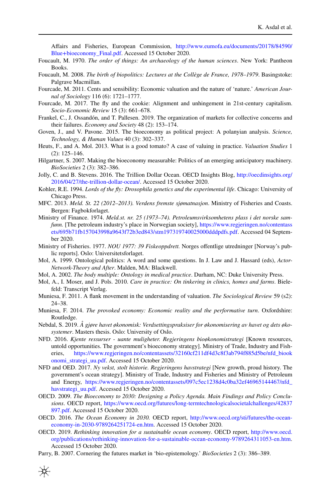Afairs and Fisheries, European Commission, [http://www.eumofa.eu/documents/20178/84590/](http://www.eumofa.eu/documents/20178/84590/Blue+bioeconomy_Final.pdf) [Blue+bioeconomy\\_Final.pdf](http://www.eumofa.eu/documents/20178/84590/Blue+bioeconomy_Final.pdf). Accessed 15 October 2020.

- <span id="page-21-5"></span>Foucault, M. 1970. *The order of things: An archaeology of the human sciences*. New York: Pantheon Books.
- <span id="page-21-3"></span>Foucault, M. 2008. *The birth of biopolitics: Lectures at the Collège de France, 1978–1979*. Basingstoke: Palgrave Macmillan.
- <span id="page-21-20"></span>Fourcade, M. 2011. Cents and sensibility: Economic valuation and the nature of 'nature.' *American Journal of Sociology* 116 (6): 1721–1777.
- <span id="page-21-2"></span>Fourcade, M. 2017. The fy and the cookie: Alignment and unhingement in 21st-century capitalism. *Socio-Economic Review* 15 (3): 661–678.
- <span id="page-21-4"></span>Frankel, C., J. Ossandón, and T. Pallesen. 2019. The organization of markets for collective concerns and their failures. *Economy and Society* 48 (2): 153–174.
- <span id="page-21-11"></span>Goven, J., and V. Pavone. 2015. The bioeconomy as political project: A polanyian analysis. *Science, Technology, & Human Values* 40 (3): 302–337.
- <span id="page-21-8"></span>Heuts, F., and A. Mol. 2013. What is a good tomato? A case of valuing in practice. *Valuation Studies* 1 (2): 125–146.
- <span id="page-21-13"></span>Hilgartner, S. 2007. Making the bioeconomy measurable: Politics of an emerging anticipatory machinery. *BioSocieties* 2 (3): 382–386.
- <span id="page-21-19"></span>Jolly, C. and B. Stevens. 2016. The Trillion Dollar Ocean. OECD Insights Blog, [http://oecdinsights.org/](http://oecdinsights.org/2016/04/27/the-trillion-dollar-ocean/) [2016/04/27/the-trillion-dollar-ocean/.](http://oecdinsights.org/2016/04/27/the-trillion-dollar-ocean/) Accessed 15 October 2020.
- <span id="page-21-6"></span>Kohler, R.E. 1994. *Lords of the fy: Drosophila genetics and the experimental life*. Chicago: University of Chicago Press.
- <span id="page-21-22"></span>MFC. 2013. *Meld. St. 22 (2012–2013). Verdens fremste sjømatnasjon*. Ministry of Fisheries and Coasts. Bergen: Fagbokforlaget.
- <span id="page-21-24"></span>Ministry of Finance. 1974. *Meld.st. nr. 25 (1973–74). Petroleumsvirksomhetens plass i det norske samfunn.* [The petroleum industry's place in Norwegian society], [https://www.regjeringen.no/contentass](https://www.regjeringen.no/contentassets/695b71fb157043998a9643f72b3ed843/stm197319740025000dddpdfs.pdf) [ets/695b71fb157043998a9643f72b3ed843/stm197319740025000dddpdfs.pdf.](https://www.regjeringen.no/contentassets/695b71fb157043998a9643f72b3ed843/stm197319740025000dddpdfs.pdf) Accessed 04 September 2020.
- <span id="page-21-23"></span>Ministry of Fisheries. 1977. *NOU 1977: 39 Fiskeoppdrett.* Norges ofentlige utredninger [Norway's public reports]. Oslo: Universitetsforlaget.
- <span id="page-21-0"></span>Mol, A. 1999. Ontological politics: A word and some questions. In J. Law and J. Hassard (eds), *Actor-Network-Theory and After*. Malden, MA: Blackwell.
- <span id="page-21-1"></span>Mol, A. 2002. *The body multiple: Ontology in medical practice*. Durham, NC: Duke University Press.
- <span id="page-21-7"></span>Mol, A., I. Moser, and J. Pols. 2010. *Care in practice: On tinkering in clinics, homes and farms*. Bielefeld: Transcript Verlag.
- <span id="page-21-9"></span>Muniesa, F. 2011. A fank movement in the understanding of valuation. *The Sociological Review* 59 (s2): 24–38.
- <span id="page-21-10"></span>Muniesa, F. 2014. *The provoked economy: Economic reality and the performative turn*. Oxfordshire: Routledge.
- <span id="page-21-21"></span>Nebdal, S. 2019. *Å gjøre havet økonomisk: Verdsettingspraksiser for økonomisering av havet og dets økosystemer*. Masters thesis. Oslo: University of Oslo.
- <span id="page-21-15"></span>NFD. 2016. *Kjente ressurser - uante muligheter. Regjeringens bioøkonomistrategi* [Known resources, untold opportunities. The government's bioeconomy strategy]. Ministry of Trade, Industry and Fisheries, [https://www.regjeringen.no/contentassets/32160cf211df4d3c8f3ab794f885d5be/nfd\\_biook](https://www.regjeringen.no/contentassets/32160cf211df4d3c8f3ab794f885d5be/nfd_biookonomi_strategi_uu.pdf) [onomi\\_strategi\\_uu.pdf.](https://www.regjeringen.no/contentassets/32160cf211df4d3c8f3ab794f885d5be/nfd_biookonomi_strategi_uu.pdf) Accessed 15 October 2020.
- <span id="page-21-18"></span>NFD and OED. 2017. *Ny vekst, stolt historie. Regjeringens havstrategi* [New growth, proud history. The government's ocean strategy]. Ministry of Trade, Industry and Fisheries and Ministry of Petroleum and Energy, [https://www.regjeringen.no/contentassets/097c5ec1238d4c0ba32ef46965144467/nfd\\_](https://www.regjeringen.no/contentassets/097c5ec1238d4c0ba32ef46965144467/nfd_havstrategi_uu.pdf) [havstrategi\\_uu.pdf](https://www.regjeringen.no/contentassets/097c5ec1238d4c0ba32ef46965144467/nfd_havstrategi_uu.pdf). Accessed 15 October 2020.
- <span id="page-21-12"></span>OECD. 2009. *The Bioeconomy to 2030: Designing a Policy Agenda. Main Findings and Policy Conclusions*. OECD report, [https://www.oecd.org/futures/long-termtechnologicalsocietalchallenges/42837](https://www.oecd.org/futures/long-termtechnologicalsocietalchallenges/42837897.pdf) [897.pdf.](https://www.oecd.org/futures/long-termtechnologicalsocietalchallenges/42837897.pdf) Accessed 15 October 2020.
- <span id="page-21-16"></span>OECD. 2016. *The Ocean Economy in 2030.* OECD report, [http://www.oecd.org/sti/futures/the-ocean](http://www.oecd.org/sti/futures/the-ocean-economy-in-2030-9789264251724-en.htm)[economy-in-2030-9789264251724-en.htm.](http://www.oecd.org/sti/futures/the-ocean-economy-in-2030-9789264251724-en.htm) Accessed 15 October 2020.
- <span id="page-21-17"></span>OECD. 2019. *Rethinking innovation for a sustainable ocean economy*. OECD report, [http://www.oecd.](http://www.oecd.org/publications/rethinking-innovation-for-a-sustainable-ocean-economy-9789264311053-en.htm) [org/publications/rethinking-innovation-for-a-sustainable-ocean-economy-9789264311053-en.htm](http://www.oecd.org/publications/rethinking-innovation-for-a-sustainable-ocean-economy-9789264311053-en.htm). Accessed 15 October 2020.
- <span id="page-21-14"></span>Parry, B. 2007. Cornering the futures market in 'bio-epistemology.' *BioSocieties* 2 (3): 386–389.

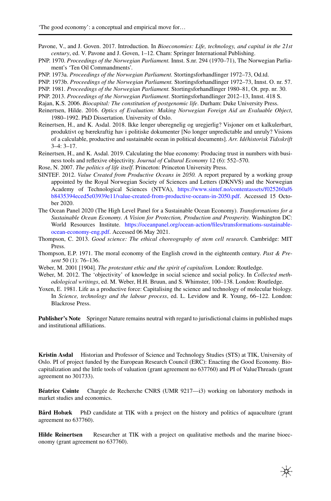- <span id="page-22-6"></span>Pavone, V., and J. Goven. 2017. Introduction. In *Bioeconomies: Life, technology, and capital in the 21st century*, ed. V. Pavone and J. Goven, 1–12. Cham: Springer International Publishing.
- <span id="page-22-15"></span>PNP. 1970. *Proceedings of the Norwegian Parliament.* Innst. S.nr. 294 (1970–71), The Norwegian Parliament's 'Ten Oil Commandments'.
- <span id="page-22-12"></span>PNP. 1973a. *Proceedings of the Norwegian Parliament.* Stortingsforhandlinger 1972–73, Od.td.
- <span id="page-22-13"></span>PNP. 1973b. *Proceedings of the Norwegian Parliament.* Stortingsforhandlinger 1972–73, Innst. O. nr. 57.
- <span id="page-22-14"></span>PNP. 1981. *Proceedings of the Norwegian Parliament.* Stortingsforhandlinger 1980–81, Ot. prp. nr. 30.
- <span id="page-22-10"></span>PNP. 2013. *Proceedings of the Norwegian Parliament*. Stortingsforhandlinger 2012–13, Innst. 418 S.
- <span id="page-22-4"></span>Rajan, K.S. 2006. *Biocapital: The constitution of postgenomic life*. Durham: Duke University Press.
- <span id="page-22-16"></span>Reinertsen, Hilde. 2016. *Optics of Evaluation: Making Norwegian Foreign Aid an Evaluable Object*, 1980–1992. PhD Dissertation. University of Oslo.
- <span id="page-22-8"></span>Reinertsen, H., and K. Asdal. 2018. Ikke lenger uberegnelig og uregjerlig? Visjoner om et kalkulerbart, produktivt og bærekraftig hav i politiske dokumenter [No longer unpredictable and unruly? Visions of a calculable, productive and sustainable ocean in political documents]. *Arr. Idéhistorisk Tidsskrift* 3–4: 3–17.
- <span id="page-22-11"></span>Reinertsen, H., and K. Asdal. 2019. Calculating the blue economy: Producing trust in numbers with business tools and refexive objectivity. *Journal of Cultural Economy* 12 (6): 552–570.
- <span id="page-22-3"></span>Rose, N. 2007. *The politics of life itself*. Princeton: Princeton University Press.
- <span id="page-22-9"></span>SINTEF. 2012. *Value Created from Productive Oceans in 2050.* A report prepared by a working group appointed by the Royal Norwegian Society of Sciences and Letters (DKNVS) and the Norwegian Academy of Technological Sciences (NTVA), [https://www.sintef.no/contentassets/f025260af6](https://www.sintef.no/contentassets/f025260af6b8435394eced5e03939e11/value-created-from-productive-oceans-in-2050.pdf) [b8435394eced5e03939e11/value-created-from-productive-oceans-in-2050.pdf](https://www.sintef.no/contentassets/f025260af6b8435394eced5e03939e11/value-created-from-productive-oceans-in-2050.pdf). Accessed 15 October 2020.
- <span id="page-22-7"></span>The Ocean Panel 2020 (The High Level Panel for a Sustainable Ocean Economy). *Transformations for a Sustainable Ocean Economy. A Vision for Protection, Production and Prosperity.* Washington DC: World Resources Institute. [https://oceanpanel.org/ocean-action/fles/transformations-sustainable](https://oceanpanel.org/ocean-action/files/transformations-sustainable-ocean-economy-eng.pdf)[ocean-economy-eng.pdf](https://oceanpanel.org/ocean-action/files/transformations-sustainable-ocean-economy-eng.pdf). Accessed 06 May 2021.
- <span id="page-22-5"></span>Thompson, C. 2013. *Good science: The ethical choreography of stem cell research*. Cambridge: MIT Press.
- <span id="page-22-1"></span>Thompson, E.P. 1971. The moral economy of the English crowd in the eighteenth century. *Past & Present* 50 (1): 76–136.
- <span id="page-22-0"></span>Weber, M. 2001 [1904]. *The protestant ethic and the spirit of capitalism.* London: Routledge.
- <span id="page-22-17"></span>Weber, M. 2012. The 'objectivity' of knowledge in social science and social policy. In *Collected methodological writings*, ed. M. Weber, H.H. Bruun, and S. Whimster, 100–138. London: Routledge.
- <span id="page-22-2"></span>Yoxen, E. 1981. Life as a productive force: Capitalising the science and technology of molecular biology. In *Science, technology and the labour process*, ed. L. Levidow and R. Young, 66–122. London: Blackrose Press.

**Publisher's Note** Springer Nature remains neutral with regard to jurisdictional claims in published maps and institutional affiliations.

**Kristin Asdal** Historian and Professor of Science and Technology Studies (STS) at TIK, University of Oslo. PI of project funded by the European Research Council (ERC): Enacting the Good Economy. Biocapitalization and the little tools of valuation (grant agreement no 637760) and PI of ValueThreads (grant agreement no 301733).

**Béatrice Cointe** Chargée de Recherche CNRS (UMR 9217—i3) working on laboratory methods in market studies and economics.

**Bård Hobæk** PhD candidate at TIK with a project on the history and politics of aquaculture (grant agreement no 637760).

Hilde Reinertsen Researcher at TIK with a project on qualitative methods and the marine bioeconomy (grant agreement no 637760).